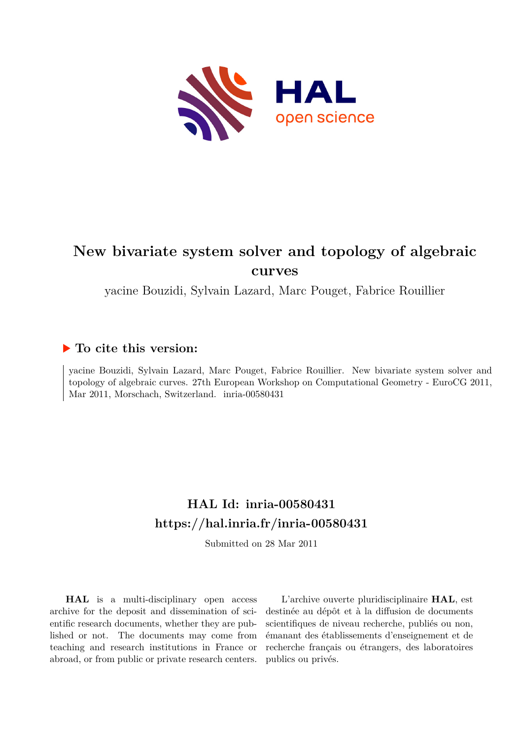

# **New bivariate system solver and topology of algebraic curves**

yacine Bouzidi, Sylvain Lazard, Marc Pouget, Fabrice Rouillier

### **To cite this version:**

yacine Bouzidi, Sylvain Lazard, Marc Pouget, Fabrice Rouillier. New bivariate system solver and topology of algebraic curves. 27th European Workshop on Computational Geometry - EuroCG 2011, Mar 2011, Morschach, Switzerland. inria-00580431

## **HAL Id: inria-00580431 <https://hal.inria.fr/inria-00580431>**

Submitted on 28 Mar 2011

**HAL** is a multi-disciplinary open access archive for the deposit and dissemination of scientific research documents, whether they are published or not. The documents may come from teaching and research institutions in France or abroad, or from public or private research centers.

L'archive ouverte pluridisciplinaire **HAL**, est destinée au dépôt et à la diffusion de documents scientifiques de niveau recherche, publiés ou non, émanant des établissements d'enseignement et de recherche français ou étrangers, des laboratoires publics ou privés.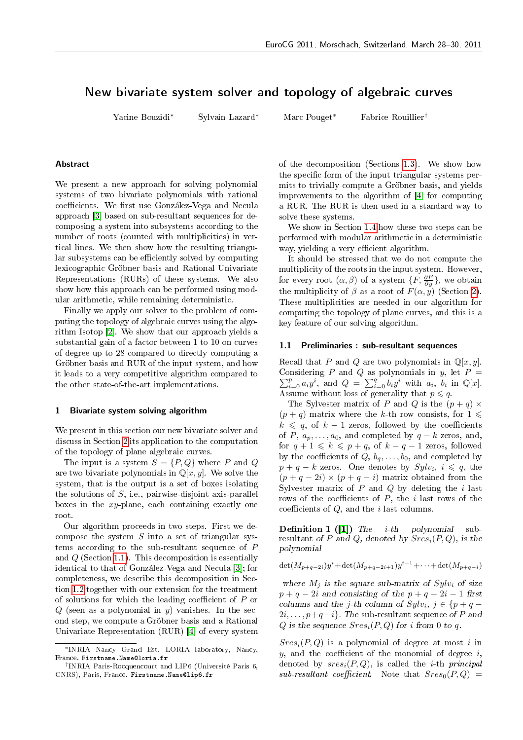### New bivariate system solver and topology of algebraic curves

Yacine Bouzidi\*

Marc Pouget\* Sylvain Lazard\*

Fabrice Rouillier<sup>†</sup>

#### **Abstract**

We present a new approach for solving polynomial systems of two bivariate polynomials with rational coefficients. We first use González-Vega and Necula approach [3] based on sub-resultant sequences for decomposing a system into subsystems according to the number of roots (counted with multiplicities) in vertical lines. We then show how the resulting triangular subsystems can be efficiently solved by computing lexicographic Gröbner basis and Rational Univariate Representations (RURs) of these systems. We also show how this approach can be performed using modular arithmetic, while remaining deterministic.

Finally we apply our solver to the problem of computing the topology of algebraic curves using the algorithm Isotop [2]. We show that our approach yields a substantial gain of a factor between 1 to 10 on curves of degree up to 28 compared to directly computing a Gröbner basis and RUR of the input system, and how it leads to a very competitive algorithm compared to the other state-of-the-art implementations.

#### <span id="page-1-1"></span>1 Bivariate system solving algorithm

We present in this section our new bivariate solver and discuss in Section 2 its application to the computation of the topology of plane algebraic curves.

The input is a system  $S = \{P, Q\}$  where P and Q are two bivariate polynomials in  $\mathbb{Q}[x, y]$ . We solve the system, that is the output is a set of boxes isolating the solutions of  $S$ , i.e., pairwise-disjoint axis-parallel boxes in the  $xy$ -plane, each containing exactly one root.

Our algorithm proceeds in two steps. First we decompose the system  $S$  into a set of triangular systems according to the sub-resultant sequence of  $P$ and  $Q$  (Section 1.1). This decomposition is essentially identical to that of González-Vega and Necula [3]; for completeness, we describe this decomposition in Section 1.2 together with our extension for the treatment of solutions for which the leading coefficient of  $P$  or  $Q$  (seen as a polynomial in  $y$ ) vanishes. In the second step, we compute a Gröbner basis and a Rational Univariate Representation (RUR) [4] of every system of the decomposition (Sections 1.3). We show how the specific form of the input triangular systems permits to trivially compute a Gröbner basis, and yields improvements to the algorithm of [4] for computing a RUR. The RUR is then used in a standard way to solve these systems.

We show in Section 1.4 how these two steps can be performed with modular arithmetic in a deterministic way, yielding a very efficient algorithm.

It should be stressed that we do not compute the multiplicity of the roots in the input system. However, for every root  $(\alpha, \beta)$  of a system  $\{F, \frac{\partial F}{\partial y}\}\$ , we obtain the multiplicity of  $\beta$  as a root of  $F(\alpha, y)$  (Section 2). These multiplicities are needed in our algorithm for computing the topology of plane curves, and this is a key feature of our solving algorithm.

#### <span id="page-1-0"></span>1.1 Preliminaries : sub-resultant sequences

Recall that P and Q are two polynomials in  $\mathbb{Q}[x, y]$ . Considering P and Q as polynomials in y, let  $P =$  $\sum_{i=0}^p a_i y^i$ , and  $Q = \sum_{i=0}^q b_i y^i$  with  $a_i$ ,  $b_i$  in Q[x]. Assume without loss of generality that  $p \leq q$ .

The Sylvester matrix of P and Q is the  $(p+q) \times$  $(p+q)$  matrix where the k-th row consists, for  $1 \leq$  $k \leq q$ , of  $k-1$  zeros, followed by the coefficients of P,  $a_p, \ldots, a_0$ , and completed by  $q - k$  zeros, and, for  $q + 1 \leq k \leq p + q$ , of  $k - q - 1$  zeros, followed by the coefficients of  $Q, b_q, \ldots, b_0$ , and completed by  $p + q - k$  zeros. One denotes by  $Sylv_i$ ,  $i \leq q$ , the  $(p+q-2i)\times (p+q-i)$  matrix obtained from the Sylvester matrix of  $P$  and  $Q$  by deleting the i last rows of the coefficients of  $P$ , the  $i$  last rows of the coefficients of  $Q$ , and the *i* last columns.

**Definition 1** ([1]) The *i-th* polynomial  $\sinh$ resultant of P and Q, denoted by  $Sres_i(P,Q)$ , is the polynomial

 $\det(M_{p+q-2i})y^{i} + \det(M_{p+q-2i+1})y^{i-1} + \cdots + \det(M_{p+q-i})$ 

where  $M_i$  is the square sub-matrix of  $Sylv_i$  of size  $p + q - 2i$  and consisting of the  $p + q - 2i - 1$  first columns and the *j*-th column of  $Sylv_i$ ,  $j \in \{p+q-\}$  $2i, \ldots, p+q-i$ . The sub-resultant sequence of P and Q is the sequence  $Sres_i(P,Q)$  for i from 0 to q.

 $Sres_i(P,Q)$  is a polynomial of degree at most i in  $y$ , and the coefficient of the monomial of degree  $i$ , denoted by  $sres_i(P,Q)$ , is called the *i*-th *principal*  $sub-resultant\ coefficient.$  Note that  $Sres<sub>0</sub>(P,Q)$  =

<sup>\*</sup>INRIA Nancy Grand Est, LORIA laboratory, Nancy, France. Firstname. Name@loria.fr

<sup>&</sup>lt;sup>†</sup>INRIA Paris-Rocquencourt and LIP6 (Université Paris 6, CNRS), Paris, France. Firstname. Name@lip6.fr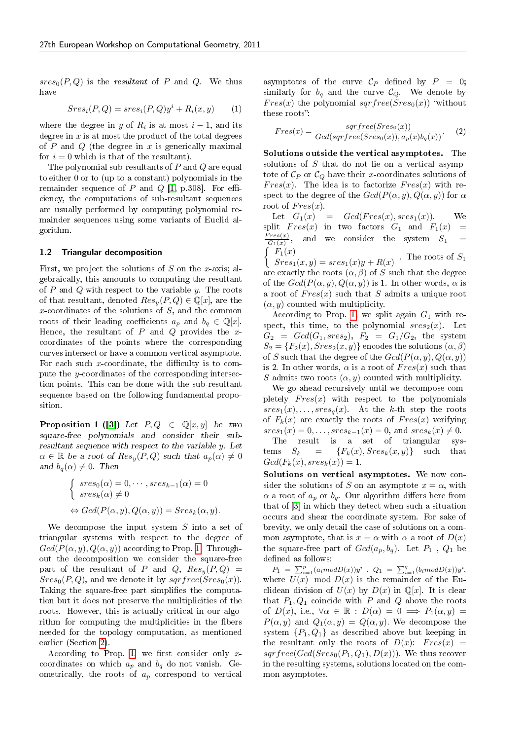$sres<sub>0</sub>(P,Q)$  is the resultant of P and Q. We thus have

<span id="page-2-2"></span>
$$
Sresi(P,Q) = sresi(P,Q)yi + Ri(x,y)
$$
 (1)

where the degree in y of  $R_i$  is at most  $i-1$ , and its degree in  $x$  is at most the product of the total degrees of P and Q (the degree in x is generically maximal for  $i = 0$  which is that of the resultant).

The polynomial sub-resultants of  $P$  and  $Q$  are equal to either 0 or to (up to a constant) polynomials in the remainder sequence of  $P$  and  $Q$  [1, p.308]. For efficiency, the computations of sub-resultant sequences are usually performed by computing polynomial remainder sequences using some variants of Euclid algorithm.

#### <span id="page-2-0"></span>1.2 Triangular decomposition

First, we project the solutions of S on the x-axis; algebraically, this amounts to computing the resultant of P and Q with respect to the variable y. The roots of that resultant, denoted  $Res_u(P,Q) \in \mathbb{Q}[x]$ , are the x-coordinates of the solutions of  $S$ , and the common roots of their leading coefficients  $a_p$  and  $b_q \in \mathbb{Q}[x]$ . Hence, the resultant of  $P$  and  $Q$  provides the xcoordinates of the points where the corresponding curves intersect or have a common vertical asymptote. For each such x-coordinate, the difficulty is to compute the y-coordinates of the corresponding intersection points. This can be done with the sub-resultant sequence based on the following fundamental proposition.

<span id="page-2-1"></span>**Proposition 1 ([3])** Let  $P, Q \in \mathbb{Q}[x, y]$  be two square-free polynomials and consider their subresultant sequence with respect to the variable  $y$ . Let  $\alpha \in \mathbb{R}$  be a root of  $Res_y(P,Q)$  such that  $a_p(\alpha) \neq 0$ and  $b_q(\alpha) \neq 0$ . Then

$$
\begin{cases} \operatorname{sres}_0(\alpha) = 0, \cdots, \operatorname{sres}_{k-1}(\alpha) = 0 \\ \operatorname{sres}_k(\alpha) \neq 0 \end{cases}
$$

$$
\Leftrightarrow \operatorname{Gcd}(P(\alpha, y), Q(\alpha, y)) = \operatorname{Sres}_k(\alpha, y).
$$

We decompose the input system  $S$  into a set of triangular systems with respect to the degree of  $Gcd(P(\alpha, y), Q(\alpha, y))$  according to Prop. 1. Throughout the decomposition we consider the square-free part of the resultant of P and Q,  $Res_u(P,Q)$  =  $Sres_0(P,Q)$ , and we denote it by  $sgrfree(Sres_0(x))$ . Taking the square-free part simplifies the computation but it does not preserve the multiplicities of the roots. However, this is actually critical in our algorithm for computing the multiplicities in the fibers needed for the topology computation, as mentioned earlier (Section 2).

According to Prop. 1, we first consider only  $x$ coordinates on which  $a_p$  and  $b_q$  do not vanish. Geometrically, the roots of  $a_p$  correspond to vertical

asymptotes of the curve  $\mathcal{C}_P$  defined by  $P = 0$ ; similarly for  $b_q$  and the curve  $\mathcal{C}_Q$ . We denote by  $Fres(x)$  the polynomial  $sgrfree(Sres_0(x))$  "without these roots":

<span id="page-2-3"></span>
$$
Fres(x) = \frac{sqrt(Sres_0(x))}{Gcd(sqrfree(Sres_0(x)), a_p(x)b_q(x))}.
$$
 (2)

Solutions outside the vertical asymptotes. The solutions of  $S$  that do not lie on a vertical asymptote of  $\mathcal{C}_P$  or  $\mathcal{C}_Q$  have their x-coordinates solutions of  $Fres(x)$ . The idea is to factorize  $Fres(x)$  with respect to the degree of the  $Gcd(P(\alpha, y), Q(\alpha, y))$  for  $\alpha$ root of  $Fres(x)$ .

Let  $G_1(x) = Gcd(Fres(x), sres_1(x))$  We split  $Fres(x)$  in two factors  $G_1$  and  $F_1(x)$  =  $Fres(x)$  $\frac{1}{G_1(x)},$ and we consider the system  $S_1 =$  $\int F_1(x)$ 

 $Sres_1(x, y) = sres_1(x)y + R(x)$ . The roots of  $S_1$ are exactly the roots  $(\alpha, \beta)$  of S such that the degree of the  $Gcd(P(\alpha, y), Q(\alpha, y))$  is 1. In other words,  $\alpha$  is a root of  $Fres(x)$  such that S admits a unique root  $(\alpha, y)$  counted with multiplicity.

According to Prop. 1, we split again  $G_1$  with respect, this time, to the polynomial  $sres<sub>2</sub>(x)$ . Let  $G_2 = Gcd(G_1, sres_2), F_2 = G_1/G_2$ , the system  $S_2 = \{F_2(x), Sres_2(x, y)\}\$ encodes the solutions  $(\alpha, \beta)$ of S such that the degree of the  $Gcd(P(\alpha, y), Q(\alpha, y))$ is 2. In other words,  $\alpha$  is a root of  $Fres(x)$  such that S admits two roots  $(\alpha, y)$  counted with multiplicity.

We go ahead recursively until we decompose completely  $Fres(x)$  with respect to the polynomials  $sres_1(x), \ldots, sres_q(x)$ . At the k-th step the roots of  $F_k(x)$  are exactly the roots of  $Fres(x)$  verifying  $sres_1(x) = 0, \ldots, sres_{k-1}(x) = 0, \text{ and } sres_k(x) \neq 0.$ 

The result is a set of triangular systems  $S_k = {F_k(x), Sres_k(x, y)}$  such that  $Gcd(F_k(x), sres_k(x)) = 1.$ 

Solutions on vertical asymptotes. We now consider the solutions of S on an asymptote  $x = \alpha$ , with  $\alpha$  a root of  $a_p$  or  $b_q$ . Our algorithm differs here from that of [3] in which they detect when such a situation occurs and shear the coordinate system. For sake of brevity, we only detail the case of solutions on a common asymptote, that is  $x = \alpha$  with  $\alpha$  a root of  $D(x)$ the square-free part of  $Gcd(a_p, b_q)$ . Let  $P_1$ ,  $Q_1$  be defined as follows:

 $P_1 = \sum_{i=1}^{p} (a_i mod D(x))y^i$ ,  $Q_1 = \sum_{i=1}^{q} (b_i mod D(x))y^i$ , where  $U(x) \mod D(x)$  is the remainder of the Euclidean division of  $U(x)$  by  $D(x)$  in  $\mathbb{Q}[x]$ . It is clear that  $P_1, Q_1$  coincide with P and Q above the roots of  $D(x)$ , i.e.,  $\forall \alpha \in \mathbb{R} : D(\alpha) = 0 \implies P_1(\alpha, y) =$  $P(\alpha, y)$  and  $Q_1(\alpha, y) = Q(\alpha, y)$ . We decompose the system  $\{P_1, Q_1\}$  as described above but keeping in the resultant only the roots of  $D(x)$ :  $Fres(x) =$  $sgrfree(Gcd(Sres_0(P_1, Q_1), D(x)))$ . We thus recover in the resulting systems, solutions located on the common asymptotes.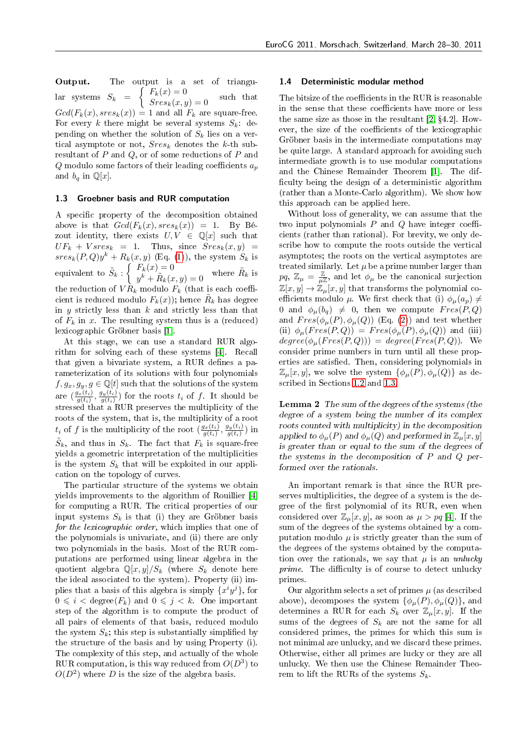Output. The output is a set of triangu- $\text{lar systems} \ \ S_k \ \ = \ \ \left\{ \begin{array}{l} F_k(x) = 0 \\ Sres_k(x,y) = 0 \end{array} \right. \ \ \text{such that}$  $Gcd(F_k(x), sres_k(x)) = 1$  and all  $F_k$  are square-free. For every k there might be several systems  $S_k$ . depending on whether the solution of  $S_k$  lies on a vertical asymptote or not,  $Sres_k$  denotes the k-th subresultant of  $P$  and  $Q$ , or of some reductions of  $P$  and Q modulo some factors of their leading coefficients  $a_n$ and  $b_q$  in  $\mathbb{Q}[x]$ .

#### <span id="page-3-0"></span>1.3 Groebner basis and RUR computation

A specific property of the decomposition obtained above is that  $Gcd(F_k(x), sres_k(x)) = 1$ . By Bézout identity, there exists  $U, V \in \mathbb{Q}[x]$  such that  $UF_k + V sres_k = 1$ . Thus, since  $Sres_k(x, y) =$  $sres_k(P,Q)y^k + R_k(x,y)$  (Eq. (1)), the system  $S_k$  is equivalent to  $\tilde{S}_k$  :  $\begin{cases} F_k(x) = 0 \\ \frac{k}{k} + \tilde{P}$  $F_k(x) = 0$ <br>  $y^k + \tilde{R}_k(x, y) = 0$  where  $\tilde{R}_k$  is the reduction of  $VR_k$  modulo  $F_k$  (that is each coefficient is reduced modulo  $F_k(x)$ ); hence  $\tilde{R}_k$  has degree in y strictly less than  $k$  and strictly less than that of  $F_k$  in x. The resulting system thus is a (reduced) lexicographic Gröbner basis [1].

At this stage, we can use a standard RUR algorithm for solving each of these systems [4]. Recall that given a bivariate system, a RUR defines a parameterization of its solutions with four polynomials  $f, g_x, g_y, g \in \mathbb{Q}[t]$  such that the solutions of the system are  $\left(\frac{g_x(t_i)}{g(t_i)}\right)$  $\tfrac{g_x(t_i)}{g(t_i)}, \tfrac{g_y(t_i)}{g(t_i)}$  $\frac{g_y(t_i)}{g(t_i)}$  for the roots  $t_i$  of  $f$ . It should be stressed that a RUR preserves the multiplicity of the roots of the system, that is, the multiplicity of a root  $t_i$  of f is the multiplicity of the root  $\left(\frac{g_x(t_i)}{g(t_i)}\right)$  $\frac{g_x(t_i)}{g(t_i)}, \frac{g_y(t_i)}{g(t_i)}$  $\frac{g_y(t_i)}{g(t_i)}$ ) in  $\tilde{S}_k$ , and thus in  $S_k$ . The fact that  $F_k$  is square-free yields a geometric interpretation of the multiplicities is the system  $S_k$  that will be exploited in our application on the topology of curves.

The particular structure of the systems we obtain yields improvements to the algorithm of Rouillier [4] for computing a RUR. The critical properties of our input systems  $S_k$  is that (i) they are Gröbner basis for the lexicographic order, which implies that one of the polynomials is univariate, and (ii) there are only two polynomials in the basis. Most of the RUR computations are performed using linear algebra in the quotient algebra  $\mathbb{Q}[x, y]/S_k$  (where  $S_k$  denote here the ideal associated to the system). Property (ii) implies that a basis of this algebra is simply  $\{x^i y^j\}$ , for  $0 \leq i < \text{degree}(F_k)$  and  $0 \leq j < k$ . One important step of the algorithm is to compute the product of all pairs of elements of that basis, reduced modulo the system  $S_k$ ; this step is substantially simplified by the structure of the basis and by using Property (i). The complexity of this step, and actually of the whole RUR computation, is this way reduced from  $O(D^3)$  to  $O(D^2)$  where D is the size of the algebra basis.

#### <span id="page-3-1"></span>1.4 Deterministic modular method

The bitsize of the coefficients in the RUR is reasonable in the sense that these coefficients have more or less the same size as those in the resultant  $[2, §4.2]$ . However, the size of the coefficients of the lexicographic Gröbner basis in the intermediate computations may be quite large. A standard approach for avoiding such intermediate growth is to use modular computations and the Chinese Remainder Theorem [1]. The difficulty being the design of a deterministic algorithm (rather than a Monte-Carlo algorithm). We show how this approach can be applied here.

Without loss of generality, we can assume that the two input polynomials  $P$  and  $Q$  have integer coefficients (rather than rational). For brevity, we only describe how to compute the roots outside the vertical asymptotes; the roots on the vertical asymptotes are treated similarly. Let  $\mu$  be a prime number larger than  $pq$ ,  $\mathbb{Z}_{\mu} = \frac{\mathbb{Z}}{\mu \mathbb{Z}}$ , and let  $\phi_{\mu}$  be the canonical surjection  $\mathbb{Z}[x,y] \to \mathbb{Z}_{\mu}[x,y]$  that transforms the polynomial coefficients modulo  $\mu$ . We first check that (i)  $\phi_{\mu}(a_p) \neq$ 0 and  $\phi_{\mu}(b_q) \neq 0$ , then we compute  $Fres(P,Q)$ and  $Fres(\phi_{\mu}(P), \phi_{\mu}(Q))$  (Eq. (2)) and test whether (ii)  $\phi_{\mu}(Fres(P,Q)) = Fres(\phi_{\mu}(P), \phi_{\mu}(Q))$  and (iii)  $degree(\phi_{\mu}(Fres(P,Q))) = degree(Fres(P,Q)).$  We consider prime numbers in turn until all these properties are satisfied. Then, considering polynomials in  $\mathbb{Z}_{\mu}[x, y]$ , we solve the system  $\{\phi_{\mu}(P), \phi_{\mu}(Q)\}\$ as described in Sections 1.2 and 1.3.

<span id="page-3-2"></span>**Lemma 2** The sum of the degrees of the systems (the degree of a system being the number of its complex roots counted with multiplicity) in the decomposition applied to  $\phi_\mu(P)$  and  $\phi_\mu(Q)$  and performed in  $\mathbb{Z}_\mu[x, y]$ is greater than or equal to the sum of the degrees of the systems in the decomposition of  $P$  and  $Q$  performed over the rationals.

An important remark is that since the RUR preserves multiplicities, the degree of a system is the degree of the first polynomial of its RUR, even when considered over  $\mathbb{Z}_{\mu}[x, y]$ , as soon as  $\mu > pq$  [4]. If the sum of the degrees of the systems obtained by a computation modulo  $\mu$  is strictly greater than the sum of the degrees of the systems obtained by the computation over the rationals, we say that  $\mu$  is an unlucky prime. The difficulty is of course to detect unlucky primes.

Our algorithm selects a set of primes  $\mu$  (as described above), decomposes the system  $\{\phi_\mu(P), \phi_\mu(Q)\}\$ , and determines a RUR for each  $S_k$  over  $\mathbb{Z}_{\mu}[x, y]$ . If the sums of the degrees of  $S_k$  are not the same for all considered primes, the primes for which this sum is not minimal are unlucky, and we discard these primes. Otherwise, either all primes are lucky or they are all unlucky. We then use the Chinese Remainder Theorem to lift the RURs of the systems  $S_k$ .